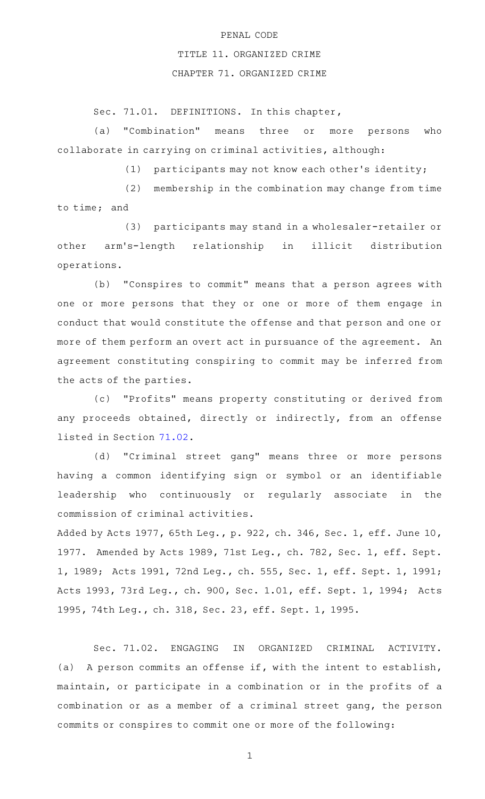## PENAL CODE

## TITLE 11. ORGANIZED CRIME

## CHAPTER 71. ORGANIZED CRIME

Sec. 71.01. DEFINITIONS. In this chapter,

(a) "Combination" means three or more persons who collaborate in carrying on criminal activities, although:

(1) participants may not know each other's identity;

 $(2)$  membership in the combination may change from time to time; and

(3) participants may stand in a wholesaler-retailer or other arm 's-length relationship in illicit distribution operations.

(b) "Conspires to commit" means that a person agrees with one or more persons that they or one or more of them engage in conduct that would constitute the offense and that person and one or more of them perform an overt act in pursuance of the agreement. An agreement constituting conspiring to commit may be inferred from the acts of the parties.

(c) "Profits" means property constituting or derived from any proceeds obtained, directly or indirectly, from an offense listed in Section [71.02](http://www.statutes.legis.state.tx.us/GetStatute.aspx?Code=PE&Value=71.02).

(d) "Criminal street gang" means three or more persons having a common identifying sign or symbol or an identifiable leadership who continuously or regularly associate in the commission of criminal activities.

Added by Acts 1977, 65th Leg., p. 922, ch. 346, Sec. 1, eff. June 10, 1977. Amended by Acts 1989, 71st Leg., ch. 782, Sec. 1, eff. Sept. 1, 1989; Acts 1991, 72nd Leg., ch. 555, Sec. 1, eff. Sept. 1, 1991; Acts 1993, 73rd Leg., ch. 900, Sec. 1.01, eff. Sept. 1, 1994; Acts 1995, 74th Leg., ch. 318, Sec. 23, eff. Sept. 1, 1995.

Sec. 71.02. ENGAGING IN ORGANIZED CRIMINAL ACTIVITY. (a) A person commits an offense if, with the intent to establish, maintain, or participate in a combination or in the profits of a combination or as a member of a criminal street gang, the person commits or conspires to commit one or more of the following: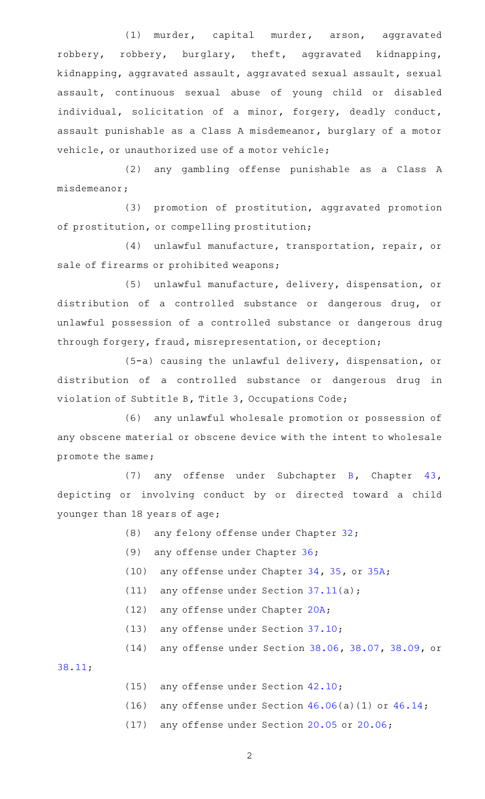(1) murder, capital murder, arson, aggravated robbery, robbery, burglary, theft, aggravated kidnapping, kidnapping, aggravated assault, aggravated sexual assault, sexual assault, continuous sexual abuse of young child or disabled individual, solicitation of a minor, forgery, deadly conduct, assault punishable as a Class A misdemeanor, burglary of a motor vehicle, or unauthorized use of a motor vehicle;

(2) any gambling offense punishable as a Class A misdemeanor;

(3) promotion of prostitution, aggravated promotion of prostitution, or compelling prostitution;

(4) unlawful manufacture, transportation, repair, or sale of firearms or prohibited weapons;

(5) unlawful manufacture, delivery, dispensation, or distribution of a controlled substance or dangerous drug, or unlawful possession of a controlled substance or dangerous drug through forgery, fraud, misrepresentation, or deception;

(5-a) causing the unlawful delivery, dispensation, or distribution of a controlled substance or dangerous drug in violation of Subtitle B, Title 3, Occupations Code;

(6) any unlawful wholesale promotion or possession of any obscene material or obscene device with the intent to wholesale promote the same;

(7) any offense under Subchapter [B,](http://www.statutes.legis.state.tx.us/GetStatute.aspx?Code=PE&Value=43.21) Chapter  $43$ , depicting or involving conduct by or directed toward a child younger than 18 years of age;

- (8) any felony offense under Chapter  $32;$
- (9) any offense under Chapter [36;](http://www.statutes.legis.state.tx.us/GetStatute.aspx?Code=PE&Value=36)
- (10) any offense under Chapter  $34$ ,  $35$ , or  $35A$ ;
- (11) any offense under Section  $37.11(a)$  $37.11(a)$ ;
- (12) any offense under Chapter [20A;](http://www.statutes.legis.state.tx.us/GetStatute.aspx?Code=PE&Value=20A)
- (13) any offense under Section [37.10;](http://www.statutes.legis.state.tx.us/GetStatute.aspx?Code=PE&Value=37.10)
- (14) any offense under Section [38.06](http://www.statutes.legis.state.tx.us/GetStatute.aspx?Code=PE&Value=38.06), [38.07,](http://www.statutes.legis.state.tx.us/GetStatute.aspx?Code=PE&Value=38.07) [38.09,](http://www.statutes.legis.state.tx.us/GetStatute.aspx?Code=PE&Value=38.09) or

[38.11;](http://www.statutes.legis.state.tx.us/GetStatute.aspx?Code=PE&Value=38.11)

- $(15)$  any offense under Section  $42.10$ ;
- (16) any offense under Section  $46.06(a)(1)$  $46.06(a)(1)$  or  $46.14$ ;
- (17) any offense under Section [20.05](http://www.statutes.legis.state.tx.us/GetStatute.aspx?Code=PE&Value=20.05) or [20.06;](http://www.statutes.legis.state.tx.us/GetStatute.aspx?Code=PE&Value=20.06)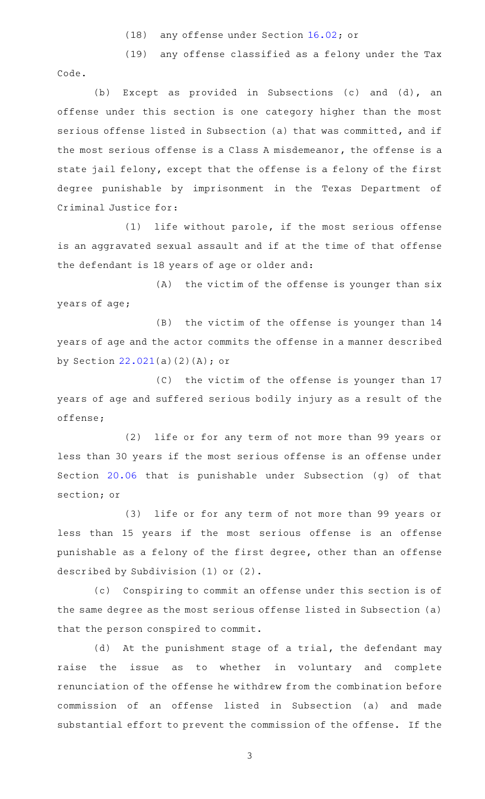(18) any offense under Section [16.02;](http://www.statutes.legis.state.tx.us/GetStatute.aspx?Code=PE&Value=16.02) or

(19) any offense classified as a felony under the Tax

Code.

(b) Except as provided in Subsections (c) and (d), an offense under this section is one category higher than the most serious offense listed in Subsection (a) that was committed, and if the most serious offense is a Class A misdemeanor, the offense is a state jail felony, except that the offense is a felony of the first degree punishable by imprisonment in the Texas Department of Criminal Justice for:

 $(1)$  life without parole, if the most serious offense is an aggravated sexual assault and if at the time of that offense the defendant is 18 years of age or older and:

(A) the victim of the offense is younger than six years of age;

(B) the victim of the offense is younger than 14 years of age and the actor commits the offense in a manner described by Section [22.021](http://www.statutes.legis.state.tx.us/GetStatute.aspx?Code=PE&Value=22.021)(a)(2)(A); or

(C) the victim of the offense is younger than 17 years of age and suffered serious bodily injury as a result of the offense;

(2) life or for any term of not more than 99 years or less than 30 years if the most serious offense is an offense under Section [20.06](http://www.statutes.legis.state.tx.us/GetStatute.aspx?Code=PE&Value=20.06) that is punishable under Subsection (g) of that section; or

(3) life or for any term of not more than 99 years or less than 15 years if the most serious offense is an offense punishable as a felony of the first degree, other than an offense described by Subdivision (1) or (2).

(c) Conspiring to commit an offense under this section is of the same degree as the most serious offense listed in Subsection (a) that the person conspired to commit.

(d) At the punishment stage of a trial, the defendant may raise the issue as to whether in voluntary and complete renunciation of the offense he withdrew from the combination before commission of an offense listed in Subsection (a) and made substantial effort to prevent the commission of the offense. If the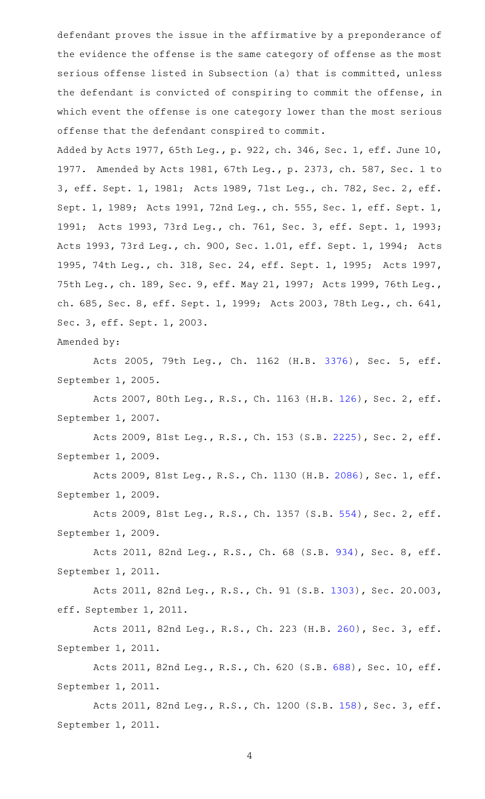defendant proves the issue in the affirmative by a preponderance of the evidence the offense is the same category of offense as the most serious offense listed in Subsection (a) that is committed, unless the defendant is convicted of conspiring to commit the offense, in which event the offense is one category lower than the most serious offense that the defendant conspired to commit.

Added by Acts 1977, 65th Leg., p. 922, ch. 346, Sec. 1, eff. June 10, 1977. Amended by Acts 1981, 67th Leg., p. 2373, ch. 587, Sec. 1 to 3, eff. Sept. 1, 1981; Acts 1989, 71st Leg., ch. 782, Sec. 2, eff. Sept. 1, 1989; Acts 1991, 72nd Leg., ch. 555, Sec. 1, eff. Sept. 1, 1991; Acts 1993, 73rd Leg., ch. 761, Sec. 3, eff. Sept. 1, 1993; Acts 1993, 73rd Leg., ch. 900, Sec. 1.01, eff. Sept. 1, 1994; Acts 1995, 74th Leg., ch. 318, Sec. 24, eff. Sept. 1, 1995; Acts 1997, 75th Leg., ch. 189, Sec. 9, eff. May 21, 1997; Acts 1999, 76th Leg., ch. 685, Sec. 8, eff. Sept. 1, 1999; Acts 2003, 78th Leg., ch. 641, Sec. 3, eff. Sept. 1, 2003.

Amended by:

Acts 2005, 79th Leg., Ch. 1162 (H.B. [3376](http://www.legis.state.tx.us/tlodocs/79R/billtext/html/HB03376F.HTM)), Sec. 5, eff. September 1, 2005.

Acts 2007, 80th Leg., R.S., Ch. 1163 (H.B. [126](http://www.legis.state.tx.us/tlodocs/80R/billtext/html/HB00126F.HTM)), Sec. 2, eff. September 1, 2007.

Acts 2009, 81st Leg., R.S., Ch. 153 (S.B. [2225](http://www.legis.state.tx.us/tlodocs/81R/billtext/html/SB02225F.HTM)), Sec. 2, eff. September 1, 2009.

Acts 2009, 81st Leg., R.S., Ch. 1130 (H.B. [2086](http://www.legis.state.tx.us/tlodocs/81R/billtext/html/HB02086F.HTM)), Sec. 1, eff. September 1, 2009.

Acts 2009, 81st Leg., R.S., Ch. 1357 (S.B. [554](http://www.legis.state.tx.us/tlodocs/81R/billtext/html/SB00554F.HTM)), Sec. 2, eff. September 1, 2009.

Acts 2011, 82nd Leg., R.S., Ch. 68 (S.B. [934](http://www.legis.state.tx.us/tlodocs/82R/billtext/html/SB00934F.HTM)), Sec. 8, eff. September 1, 2011.

Acts 2011, 82nd Leg., R.S., Ch. 91 (S.B. [1303](http://www.legis.state.tx.us/tlodocs/82R/billtext/html/SB01303F.HTM)), Sec. 20.003, eff. September 1, 2011.

Acts 2011, 82nd Leg., R.S., Ch. 223 (H.B. [260](http://www.legis.state.tx.us/tlodocs/82R/billtext/html/HB00260F.HTM)), Sec. 3, eff. September 1, 2011.

Acts 2011, 82nd Leg., R.S., Ch. 620 (S.B. [688\)](http://www.legis.state.tx.us/tlodocs/82R/billtext/html/SB00688F.HTM), Sec. 10, eff. September 1, 2011.

Acts 2011, 82nd Leg., R.S., Ch. 1200 (S.B. [158](http://www.legis.state.tx.us/tlodocs/82R/billtext/html/SB00158F.HTM)), Sec. 3, eff. September 1, 2011.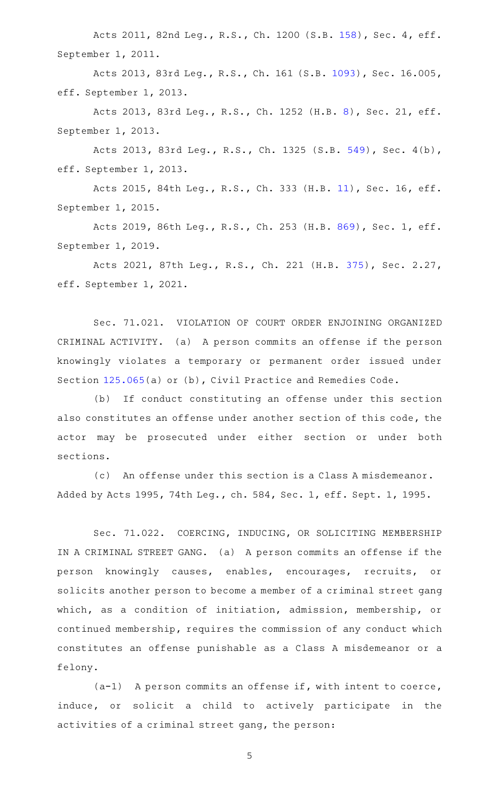Acts 2011, 82nd Leg., R.S., Ch. 1200 (S.B. [158](http://www.legis.state.tx.us/tlodocs/82R/billtext/html/SB00158F.HTM)), Sec. 4, eff. September 1, 2011.

Acts 2013, 83rd Leg., R.S., Ch. 161 (S.B. [1093\)](http://www.legis.state.tx.us/tlodocs/83R/billtext/html/SB01093F.HTM), Sec. 16.005, eff. September 1, 2013.

Acts 2013, 83rd Leg., R.S., Ch. 1252 (H.B. [8\)](http://www.legis.state.tx.us/tlodocs/83R/billtext/html/HB00008F.HTM), Sec. 21, eff. September 1, 2013.

Acts 2013, 83rd Leg., R.S., Ch. 1325 (S.B. [549\)](http://www.legis.state.tx.us/tlodocs/83R/billtext/html/SB00549F.HTM), Sec. 4(b), eff. September 1, 2013.

Acts 2015, 84th Leg., R.S., Ch. 333 (H.B. [11\)](http://www.legis.state.tx.us/tlodocs/84R/billtext/html/HB00011F.HTM), Sec. 16, eff. September 1, 2015.

Acts 2019, 86th Leg., R.S., Ch. 253 (H.B. [869](http://www.legis.state.tx.us/tlodocs/86R/billtext/html/HB00869F.HTM)), Sec. 1, eff. September 1, 2019.

Acts 2021, 87th Leg., R.S., Ch. 221 (H.B. [375](http://www.legis.state.tx.us/tlodocs/87R/billtext/html/HB00375F.HTM)), Sec. 2.27, eff. September 1, 2021.

Sec. 71.021. VIOLATION OF COURT ORDER ENJOINING ORGANIZED CRIMINAL ACTIVITY. (a) A person commits an offense if the person knowingly violates a temporary or permanent order issued under Section [125.065\(](http://www.statutes.legis.state.tx.us/GetStatute.aspx?Code=CP&Value=125.065)a) or (b), Civil Practice and Remedies Code.

(b) If conduct constituting an offense under this section also constitutes an offense under another section of this code, the actor may be prosecuted under either section or under both sections.

(c) An offense under this section is a Class A misdemeanor. Added by Acts 1995, 74th Leg., ch. 584, Sec. 1, eff. Sept. 1, 1995.

Sec. 71.022. COERCING, INDUCING, OR SOLICITING MEMBERSHIP IN A CRIMINAL STREET GANG. (a) A person commits an offense if the person knowingly causes, enables, encourages, recruits, or solicits another person to become a member of a criminal street gang which, as a condition of initiation, admission, membership, or continued membership, requires the commission of any conduct which constitutes an offense punishable as a Class A misdemeanor or a felony.

 $(a-1)$  A person commits an offense if, with intent to coerce, induce, or solicit a child to actively participate in the activities of a criminal street gang, the person: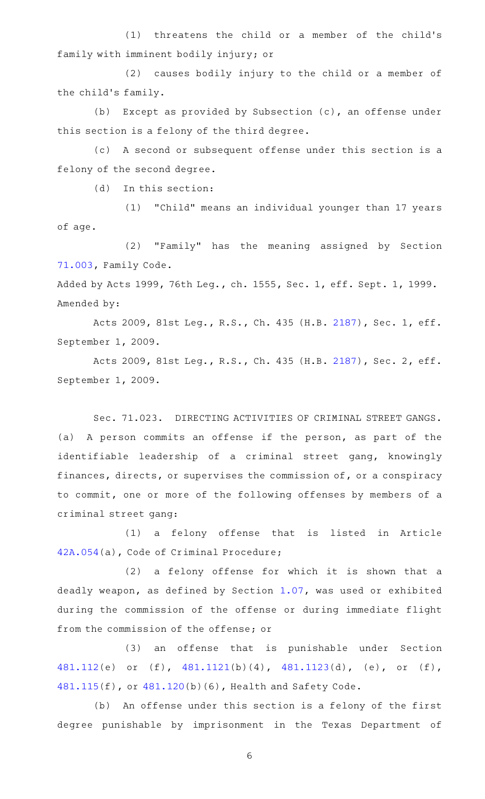(1) threatens the child or a member of the child's family with imminent bodily injury; or

(2) causes bodily injury to the child or a member of the child 's family.

(b) Except as provided by Subsection  $(c)$ , an offense under this section is a felony of the third degree.

(c)AAA second or subsequent offense under this section is a felony of the second degree.

 $(d)$  In this section:

(1) "Child" means an individual younger than 17 years of age.

(2) "Family" has the meaning assigned by Section [71.003](http://www.statutes.legis.state.tx.us/GetStatute.aspx?Code=FA&Value=71.003), Family Code. Added by Acts 1999, 76th Leg., ch. 1555, Sec. 1, eff. Sept. 1, 1999.

Amended by:

Acts 2009, 81st Leg., R.S., Ch. 435 (H.B. [2187](http://www.legis.state.tx.us/tlodocs/81R/billtext/html/HB02187F.HTM)), Sec. 1, eff. September 1, 2009.

Acts 2009, 81st Leg., R.S., Ch. 435 (H.B. [2187](http://www.legis.state.tx.us/tlodocs/81R/billtext/html/HB02187F.HTM)), Sec. 2, eff. September 1, 2009.

Sec. 71.023. DIRECTING ACTIVITIES OF CRIMINAL STREET GANGS. (a) A person commits an offense if the person, as part of the identifiable leadership of a criminal street gang, knowingly finances, directs, or supervises the commission of, or a conspiracy to commit, one or more of the following offenses by members of a criminal street gang:

(1) a felony offense that is listed in Article [42A.054\(](http://www.statutes.legis.state.tx.us/GetStatute.aspx?Code=CR&Value=42A.054)a), Code of Criminal Procedure;

 $(2)$  a felony offense for which it is shown that a deadly weapon, as defined by Section [1.07](http://www.statutes.legis.state.tx.us/GetStatute.aspx?Code=PE&Value=1.07), was used or exhibited during the commission of the offense or during immediate flight from the commission of the offense; or

(3) an offense that is punishable under Section [481.112\(](http://www.statutes.legis.state.tx.us/GetStatute.aspx?Code=HS&Value=481.112)e) or (f), [481.1121\(](http://www.statutes.legis.state.tx.us/GetStatute.aspx?Code=HS&Value=481.1121)b)(4), [481.1123\(](http://www.statutes.legis.state.tx.us/GetStatute.aspx?Code=HS&Value=481.1123)d), (e), or (f), [481.115\(](http://www.statutes.legis.state.tx.us/GetStatute.aspx?Code=HS&Value=481.115)f), or [481.120\(](http://www.statutes.legis.state.tx.us/GetStatute.aspx?Code=HS&Value=481.120)b)(6), Health and Safety Code.

(b) An offense under this section is a felony of the first degree punishable by imprisonment in the Texas Department of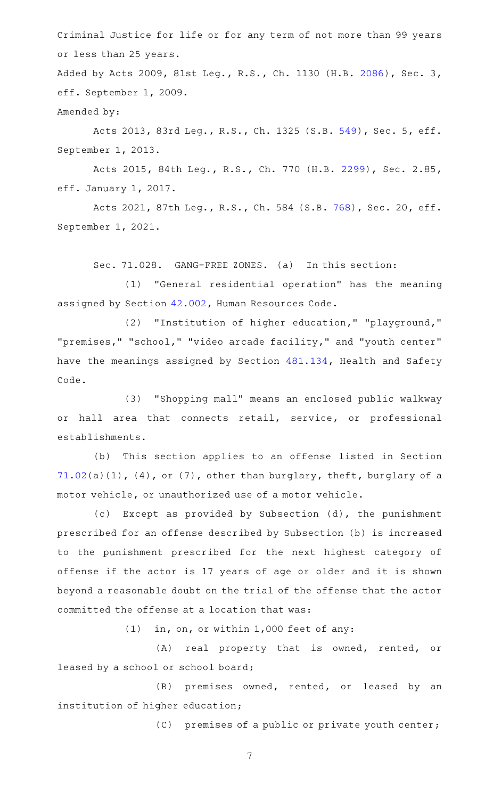Criminal Justice for life or for any term of not more than 99 years or less than 25 years.

Added by Acts 2009, 81st Leg., R.S., Ch. 1130 (H.B. [2086\)](http://www.legis.state.tx.us/tlodocs/81R/billtext/html/HB02086F.HTM), Sec. 3, eff. September 1, 2009. Amended by:

Acts 2013, 83rd Leg., R.S., Ch. 1325 (S.B. [549](http://www.legis.state.tx.us/tlodocs/83R/billtext/html/SB00549F.HTM)), Sec. 5, eff. September 1, 2013.

Acts 2015, 84th Leg., R.S., Ch. 770 (H.B. [2299\)](http://www.legis.state.tx.us/tlodocs/84R/billtext/html/HB02299F.HTM), Sec. 2.85, eff. January 1, 2017.

Acts 2021, 87th Leg., R.S., Ch. 584 (S.B. [768\)](http://www.legis.state.tx.us/tlodocs/87R/billtext/html/SB00768F.HTM), Sec. 20, eff. September 1, 2021.

Sec. 71.028. GANG-FREE ZONES. (a) In this section:

(1) "General residential operation" has the meaning assigned by Section [42.002,](http://www.statutes.legis.state.tx.us/GetStatute.aspx?Code=HR&Value=42.002) Human Resources Code.

(2) "Institution of higher education," "playground," "premises," "school," "video arcade facility," and "youth center" have the meanings assigned by Section [481.134,](http://www.statutes.legis.state.tx.us/GetStatute.aspx?Code=HS&Value=481.134) Health and Safety Code.

(3) "Shopping mall" means an enclosed public walkway or hall area that connects retail, service, or professional establishments.

(b) This section applies to an offense listed in Section  $71.02(a)(1)$  $71.02(a)(1)$ ,  $(4)$ , or  $(7)$ , other than burglary, theft, burglary of a motor vehicle, or unauthorized use of a motor vehicle.

(c) Except as provided by Subsection (d), the punishment prescribed for an offense described by Subsection (b) is increased to the punishment prescribed for the next highest category of offense if the actor is 17 years of age or older and it is shown beyond a reasonable doubt on the trial of the offense that the actor committed the offense at a location that was:

 $(1)$  in, on, or within 1,000 feet of any:

(A) real property that is owned, rented, or leased by a school or school board;

 $(B)$  premises owned, rented, or leased by an institution of higher education;

(C) premises of a public or private youth center;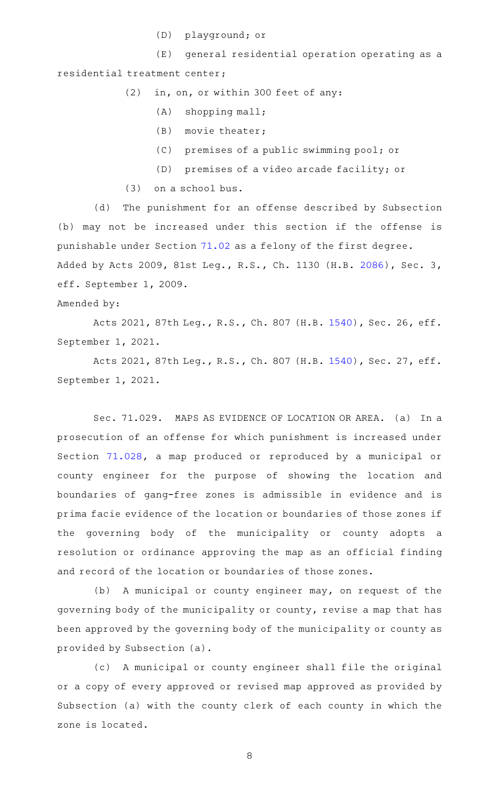(D) playground; or

(E) general residential operation operating as a residential treatment center;

 $(2)$  in, on, or within 300 feet of any:

- $(A)$  shopping mall;
- $(B)$  movie theater;
- (C) premises of a public swimming pool; or
- (D) premises of a video arcade facility; or
- $(3)$  on a school bus.

(d) The punishment for an offense described by Subsection (b) may not be increased under this section if the offense is punishable under Section [71.02](http://www.statutes.legis.state.tx.us/GetStatute.aspx?Code=PE&Value=71.02) as a felony of the first degree. Added by Acts 2009, 81st Leg., R.S., Ch. 1130 (H.B. [2086\)](http://www.legis.state.tx.us/tlodocs/81R/billtext/html/HB02086F.HTM), Sec. 3, eff. September 1, 2009.

Amended by:

Acts 2021, 87th Leg., R.S., Ch. 807 (H.B. [1540\)](http://www.legis.state.tx.us/tlodocs/87R/billtext/html/HB01540F.HTM), Sec. 26, eff. September 1, 2021.

Acts 2021, 87th Leg., R.S., Ch. 807 (H.B. [1540\)](http://www.legis.state.tx.us/tlodocs/87R/billtext/html/HB01540F.HTM), Sec. 27, eff. September 1, 2021.

Sec. 71.029. MAPS AS EVIDENCE OF LOCATION OR AREA. (a) In a prosecution of an offense for which punishment is increased under Section [71.028](http://www.statutes.legis.state.tx.us/GetStatute.aspx?Code=PE&Value=71.028), a map produced or reproduced by a municipal or county engineer for the purpose of showing the location and boundaries of gang-free zones is admissible in evidence and is prima facie evidence of the location or boundaries of those zones if the governing body of the municipality or county adopts a resolution or ordinance approving the map as an official finding and record of the location or boundaries of those zones.

(b) A municipal or county engineer may, on request of the governing body of the municipality or county, revise a map that has been approved by the governing body of the municipality or county as provided by Subsection (a).

(c) A municipal or county engineer shall file the original or a copy of every approved or revised map approved as provided by Subsection (a) with the county clerk of each county in which the zone is located.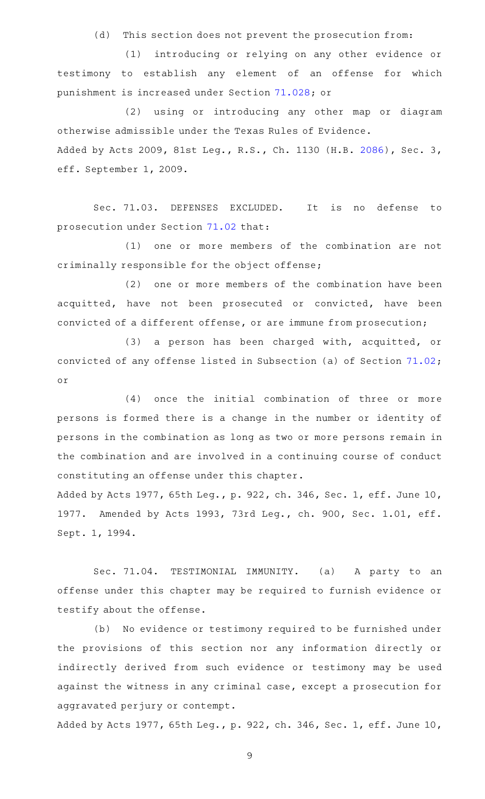(d) This section does not prevent the prosecution from:

(1) introducing or relying on any other evidence or testimony to establish any element of an offense for which punishment is increased under Section [71.028;](http://www.statutes.legis.state.tx.us/GetStatute.aspx?Code=PE&Value=71.028) or

(2) using or introducing any other map or diagram otherwise admissible under the Texas Rules of Evidence. Added by Acts 2009, 81st Leg., R.S., Ch. 1130 (H.B. [2086\)](http://www.legis.state.tx.us/tlodocs/81R/billtext/html/HB02086F.HTM), Sec. 3, eff. September 1, 2009.

Sec. 71.03. DEFENSES EXCLUDED. It is no defense to prosecution under Section [71.02](http://www.statutes.legis.state.tx.us/GetStatute.aspx?Code=PE&Value=71.02) that:

(1) one or more members of the combination are not criminally responsible for the object offense;

(2) one or more members of the combination have been acquitted, have not been prosecuted or convicted, have been convicted of a different offense, or are immune from prosecution;

(3) a person has been charged with, acquitted, or convicted of any offense listed in Subsection (a) of Section [71.02](http://www.statutes.legis.state.tx.us/GetStatute.aspx?Code=PE&Value=71.02); or

 $(4)$  once the initial combination of three or more persons is formed there is a change in the number or identity of persons in the combination as long as two or more persons remain in the combination and are involved in a continuing course of conduct constituting an offense under this chapter.

Added by Acts 1977, 65th Leg., p. 922, ch. 346, Sec. 1, eff. June 10, 1977. Amended by Acts 1993, 73rd Leg., ch. 900, Sec. 1.01, eff. Sept. 1, 1994.

Sec. 71.04. TESTIMONIAL IMMUNITY. (a) A party to an offense under this chapter may be required to furnish evidence or testify about the offense.

(b) No evidence or testimony required to be furnished under the provisions of this section nor any information directly or indirectly derived from such evidence or testimony may be used against the witness in any criminal case, except a prosecution for aggravated perjury or contempt.

Added by Acts 1977, 65th Leg., p. 922, ch. 346, Sec. 1, eff. June 10,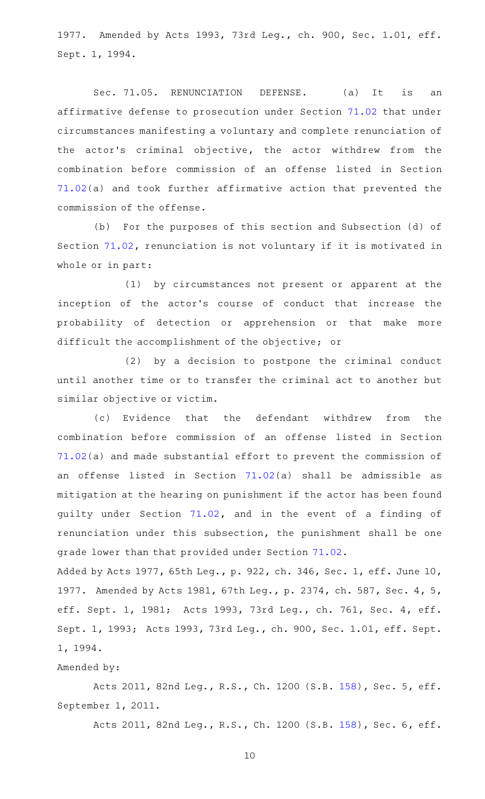1977. Amended by Acts 1993, 73rd Leg., ch. 900, Sec. 1.01, eff. Sept. 1, 1994.

Sec. 71.05. RENUNCIATION DEFENSE. (a) It is an affirmative defense to prosecution under Section [71.02](http://www.statutes.legis.state.tx.us/GetStatute.aspx?Code=PE&Value=71.02) that under circumstances manifesting a voluntary and complete renunciation of the actor 's criminal objective, the actor withdrew from the combination before commission of an offense listed in Section [71.02\(](http://www.statutes.legis.state.tx.us/GetStatute.aspx?Code=PE&Value=71.02)a) and took further affirmative action that prevented the commission of the offense.

(b) For the purposes of this section and Subsection (d) of Section [71.02,](http://www.statutes.legis.state.tx.us/GetStatute.aspx?Code=PE&Value=71.02) renunciation is not voluntary if it is motivated in whole or in part:

(1) by circumstances not present or apparent at the inception of the actor's course of conduct that increase the probability of detection or apprehension or that make more difficult the accomplishment of the objective; or

 $(2)$  by a decision to postpone the criminal conduct until another time or to transfer the criminal act to another but similar objective or victim.

(c) Evidence that the defendant withdrew from the combination before commission of an offense listed in Section [71.02\(](http://www.statutes.legis.state.tx.us/GetStatute.aspx?Code=PE&Value=71.02)a) and made substantial effort to prevent the commission of an offense listed in Section [71.02\(](http://www.statutes.legis.state.tx.us/GetStatute.aspx?Code=PE&Value=71.02)a) shall be admissible as mitigation at the hearing on punishment if the actor has been found guilty under Section [71.02](http://www.statutes.legis.state.tx.us/GetStatute.aspx?Code=PE&Value=71.02), and in the event of a finding of renunciation under this subsection, the punishment shall be one grade lower than that provided under Section [71.02.](http://www.statutes.legis.state.tx.us/GetStatute.aspx?Code=PE&Value=71.02)

Added by Acts 1977, 65th Leg., p. 922, ch. 346, Sec. 1, eff. June 10, 1977. Amended by Acts 1981, 67th Leg., p. 2374, ch. 587, Sec. 4, 5, eff. Sept. 1, 1981; Acts 1993, 73rd Leg., ch. 761, Sec. 4, eff. Sept. 1, 1993; Acts 1993, 73rd Leg., ch. 900, Sec. 1.01, eff. Sept. 1, 1994.

## Amended by:

Acts 2011, 82nd Leg., R.S., Ch. 1200 (S.B. [158](http://www.legis.state.tx.us/tlodocs/82R/billtext/html/SB00158F.HTM)), Sec. 5, eff. September 1, 2011.

Acts 2011, 82nd Leg., R.S., Ch. 1200 (S.B. [158](http://www.legis.state.tx.us/tlodocs/82R/billtext/html/SB00158F.HTM)), Sec. 6, eff.